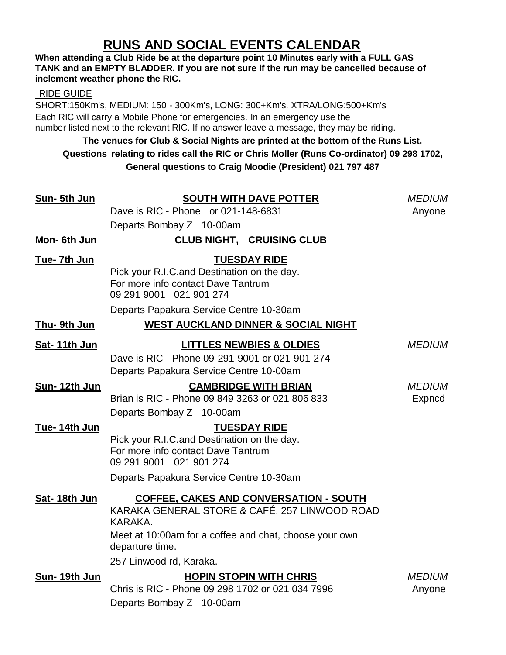# **RUNS AND SOCIAL EVENTS CALENDAR**

#### **When attending a Club Ride be at the departure point 10 Minutes early with a FULL GAS TANK and an EMPTY BLADDER. If you are not sure if the run may be cancelled because of inclement weather phone the RIC.**

#### RIDE GUIDE

SHORT:150Km's, MEDIUM: 150 - 300Km's, LONG: 300+Km's. XTRA/LONG:500+Km's Each RIC will carry a Mobile Phone for emergencies. In an emergency use the number listed next to the relevant RIC. If no answer leave a message, they may be riding.

## **The venues for Club & Social Nights are printed at the bottom of the Runs List. Questions relating to rides call the RIC or Chris Moller (Runs Co-ordinator) 09 298 1702, General questions to Craig Moodie (President) 021 797 487**

**\_\_\_\_\_\_\_\_\_\_\_\_\_\_\_\_\_\_\_\_\_\_\_\_\_\_\_\_\_\_\_\_\_\_\_\_\_\_\_\_\_\_\_\_\_\_\_\_\_\_\_\_\_\_\_\_\_\_\_\_\_\_\_\_\_\_**

| Sun- 5th Jun       | <b>SOUTH WITH DAVE POTTER</b><br>Dave is RIC - Phone or 021-148-6831<br>Departs Bombay Z 10-00am                                                                                                                  | <b>MEDIUM</b><br>Anyone |
|--------------------|-------------------------------------------------------------------------------------------------------------------------------------------------------------------------------------------------------------------|-------------------------|
| Mon-6th Jun        | <b>CLUB NIGHT, CRUISING CLUB</b>                                                                                                                                                                                  |                         |
| Tue- 7th Jun       | <u>TUESDAY RIDE</u><br>Pick your R.I.C.and Destination on the day.<br>For more info contact Dave Tantrum<br>09 291 9001 021 901 274<br>Departs Papakura Service Centre 10-30am                                    |                         |
| <b>Thu-9th Jun</b> | <b>WEST AUCKLAND DINNER &amp; SOCIAL NIGHT</b>                                                                                                                                                                    |                         |
| Sat-11th Jun       | <b>LITTLES NEWBIES &amp; OLDIES</b><br>Dave is RIC - Phone 09-291-9001 or 021-901-274<br>Departs Papakura Service Centre 10-00am                                                                                  | <b>MEDIUM</b>           |
| Sun-12th Jun       | <b>CAMBRIDGE WITH BRIAN</b><br>Brian is RIC - Phone 09 849 3263 or 021 806 833<br>Departs Bombay Z 10-00am                                                                                                        | <b>MEDIUM</b><br>Expncd |
| Tue-14th Jun       | <b>TUESDAY RIDE</b><br>Pick your R.I.C.and Destination on the day.<br>For more info contact Dave Tantrum<br>09 291 9001 021 901 274<br>Departs Papakura Service Centre 10-30am                                    |                         |
| Sat-18th Jun       | <b>COFFEE, CAKES AND CONVERSATION - SOUTH</b><br>KARAKA GENERAL STORE & CAFÉ, 257 LINWOOD ROAD<br>KARAKA.<br>Meet at 10:00am for a coffee and chat, choose your own<br>departure time.<br>257 Linwood rd, Karaka. |                         |
| Sun-19th Jun       | <b>HOPIN STOPIN WITH CHRIS</b><br>Chris is RIC - Phone 09 298 1702 or 021 034 7996<br>Departs Bombay Z 10-00am                                                                                                    | <b>MEDIUM</b><br>Anyone |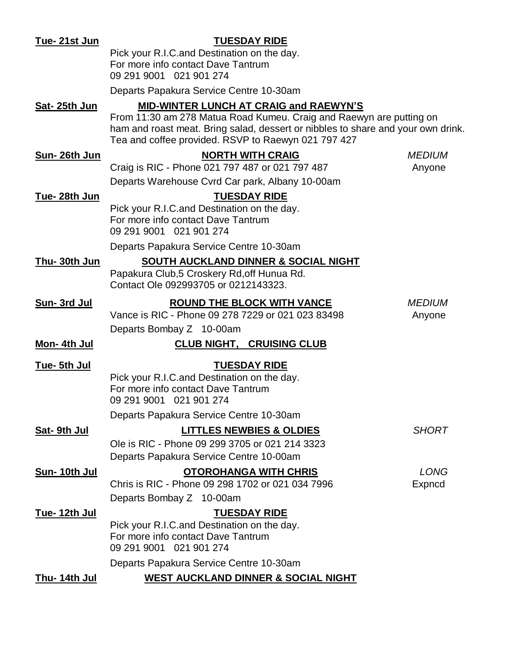| Tue-21st Jun         | <b>TUESDAY RIDE</b>                                                                                                                     |                      |
|----------------------|-----------------------------------------------------------------------------------------------------------------------------------------|----------------------|
|                      | Pick your R.I.C.and Destination on the day.                                                                                             |                      |
|                      | For more info contact Dave Tantrum                                                                                                      |                      |
|                      | 09 291 9001 021 901 274                                                                                                                 |                      |
|                      | Departs Papakura Service Centre 10-30am                                                                                                 |                      |
| Sat- 25th Jun        | MID-WINTER LUNCH AT CRAIG and RAEWYN'S                                                                                                  |                      |
|                      | From 11:30 am 278 Matua Road Kumeu. Craig and Raewyn are putting on                                                                     |                      |
|                      | ham and roast meat. Bring salad, dessert or nibbles to share and your own drink.<br>Tea and coffee provided. RSVP to Raewyn 021 797 427 |                      |
| Sun-26th Jun         | <b>NORTH WITH CRAIG</b>                                                                                                                 | <i><b>MEDIUM</b></i> |
|                      | Craig is RIC - Phone 021 797 487 or 021 797 487                                                                                         | Anyone               |
|                      | Departs Warehouse Cvrd Car park, Albany 10-00am                                                                                         |                      |
| <u>Tue- 28th Jun</u> | <b>TUESDAY RIDE</b>                                                                                                                     |                      |
|                      | Pick your R.I.C.and Destination on the day.                                                                                             |                      |
|                      | For more info contact Dave Tantrum                                                                                                      |                      |
|                      | 09 291 9001 021 901 274                                                                                                                 |                      |
|                      | Departs Papakura Service Centre 10-30am                                                                                                 |                      |
| Thu- 30th Jun        | SOUTH AUCKLAND DINNER & SOCIAL NIGHT                                                                                                    |                      |
|                      | Papakura Club, 5 Croskery Rd, off Hunua Rd.                                                                                             |                      |
|                      | Contact Ole 092993705 or 0212143323.                                                                                                    |                      |
| Sun- 3rd Jul         | <b>ROUND THE BLOCK WITH VANCE</b>                                                                                                       | <b>MEDIUM</b>        |
|                      | Vance is RIC - Phone 09 278 7229 or 021 023 83498                                                                                       | Anyone               |
|                      | Departs Bombay Z 10-00am                                                                                                                |                      |
| Mon- 4th Jul         | <b>CLUB NIGHT, CRUISING CLUB</b>                                                                                                        |                      |
| <u>Tue- 5th Jul</u>  | <b>TUESDAY RIDE</b>                                                                                                                     |                      |
|                      | Pick your R.I.C.and Destination on the day.                                                                                             |                      |
|                      | For more info contact Dave Tantrum                                                                                                      |                      |
|                      | 09 291 9001 021 901 274                                                                                                                 |                      |
|                      | Departs Papakura Service Centre 10-30am                                                                                                 |                      |
| <u>Sat- 9th Jul</u>  | <b>LITTLES NEWBIES &amp; OLDIES</b>                                                                                                     | <b>SHORT</b>         |
|                      | Ole is RIC - Phone 09 299 3705 or 021 214 3323                                                                                          |                      |
|                      | Departs Papakura Service Centre 10-00am                                                                                                 |                      |
| Sun- 10th Jul        | <b>OTOROHANGA WITH CHRIS</b>                                                                                                            | LONG                 |
|                      | Chris is RIC - Phone 09 298 1702 or 021 034 7996                                                                                        | Expncd               |
|                      | Departs Bombay Z 10-00am                                                                                                                |                      |
| <u>Tue- 12th Jul</u> | <u>TUESDAY RIDE</u>                                                                                                                     |                      |
|                      | Pick your R.I.C.and Destination on the day.                                                                                             |                      |
|                      | For more info contact Dave Tantrum                                                                                                      |                      |
|                      | 09 291 9001 021 901 274                                                                                                                 |                      |
|                      | Departs Papakura Service Centre 10-30am                                                                                                 |                      |
| <u>Thu- 14th Jul</u> | <b>WEST AUCKLAND DINNER &amp; SOCIAL NIGHT</b>                                                                                          |                      |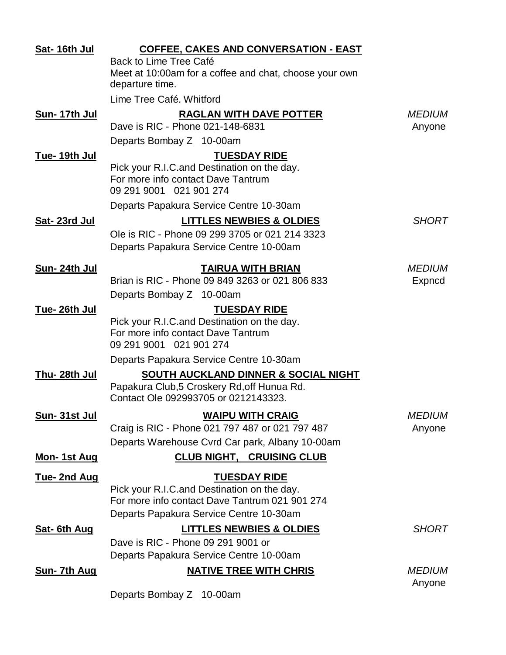| Sat-16th Jul         | <b>COFFEE, CAKES AND CONVERSATION - EAST</b>           |               |
|----------------------|--------------------------------------------------------|---------------|
|                      | Back to Lime Tree Café                                 |               |
|                      | Meet at 10:00am for a coffee and chat, choose your own |               |
|                      | departure time.                                        |               |
|                      | Lime Tree Café. Whitford                               |               |
| Sun-17th Jul         | <b>RAGLAN WITH DAVE POTTER</b>                         | <b>MEDIUM</b> |
|                      | Dave is RIC - Phone 021-148-6831                       | Anyone        |
|                      | Departs Bombay Z 10-00am                               |               |
| Tue- 19th Jul        | <b>TUESDAY RIDE</b>                                    |               |
|                      | Pick your R.I.C.and Destination on the day.            |               |
|                      | For more info contact Dave Tantrum                     |               |
|                      | 09 291 9001 021 901 274                                |               |
|                      | Departs Papakura Service Centre 10-30am                |               |
| Sat-23rd Jul         | <b>LITTLES NEWBIES &amp; OLDIES</b>                    | <b>SHORT</b>  |
|                      | Ole is RIC - Phone 09 299 3705 or 021 214 3323         |               |
|                      | Departs Papakura Service Centre 10-00am                |               |
| <u>Sun- 24th Jul</u> | <b>TAIRUA WITH BRIAN</b>                               | <b>MEDIUM</b> |
|                      | Brian is RIC - Phone 09 849 3263 or 021 806 833        | Expncd        |
|                      | Departs Bombay Z 10-00am                               |               |
| Tue- 26th Jul        | <b>TUESDAY RIDE</b>                                    |               |
|                      | Pick your R.I.C.and Destination on the day.            |               |
|                      | For more info contact Dave Tantrum                     |               |
|                      | 09 291 9001 021 901 274                                |               |
|                      | Departs Papakura Service Centre 10-30am                |               |
| Thu- 28th Jul        | SOUTH AUCKLAND DINNER & SOCIAL NIGHT                   |               |
|                      | Papakura Club, 5 Croskery Rd, off Hunua Rd.            |               |
|                      | Contact Ole 092993705 or 0212143323.                   |               |
| <u>Sun- 31st Jul</u> | <b>WAIPU WITH CRAIG</b>                                | <b>MEDIUM</b> |
|                      | Craig is RIC - Phone 021 797 487 or 021 797 487        | Anyone        |
|                      | Departs Warehouse Cvrd Car park, Albany 10-00am        |               |
| <u> Mon- 1st Aug</u> | <b>CLUB NIGHT, CRUISING CLUB</b>                       |               |
| <b>Tue-2nd Aug</b>   | <b>TUESDAY RIDE</b>                                    |               |
|                      | Pick your R.I.C.and Destination on the day.            |               |
|                      | For more info contact Dave Tantrum 021 901 274         |               |
|                      | Departs Papakura Service Centre 10-30am                |               |
| <u>Sat- 6th Aug</u>  | <b>LITTLES NEWBIES &amp; OLDIES</b>                    | <b>SHORT</b>  |
|                      | Dave is RIC - Phone 09 291 9001 or                     |               |
|                      | Departs Papakura Service Centre 10-00am                |               |
| Sun- 7th Aug         | <b>NATIVE TREE WITH CHRIS</b>                          | <b>MEDIUM</b> |
|                      |                                                        | Anyone        |
|                      | Departs Bombay Z 10-00am                               |               |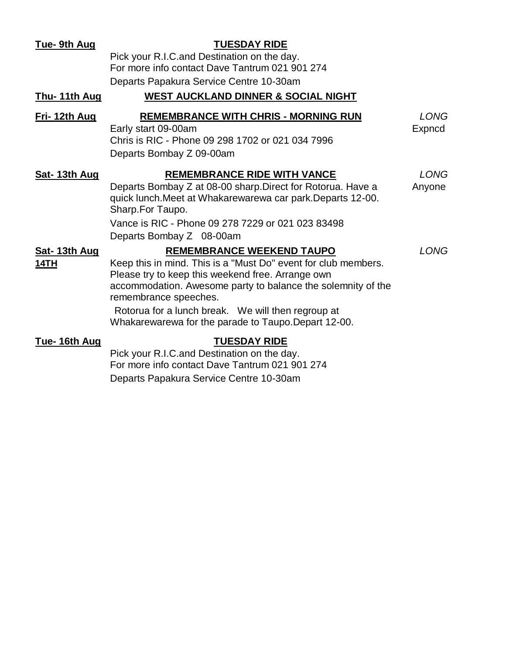| Tue- 9th Aug        | <u>TUESDAY RIDE</u>                                            |             |
|---------------------|----------------------------------------------------------------|-------------|
|                     | Pick your R.I.C.and Destination on the day.                    |             |
|                     | For more info contact Dave Tantrum 021 901 274                 |             |
|                     | Departs Papakura Service Centre 10-30am                        |             |
| <b>Thu-11th Aug</b> | <b>WEST AUCKLAND DINNER &amp; SOCIAL NIGHT</b>                 |             |
| Fri-12th Aug        | <b>REMEMBRANCE WITH CHRIS - MORNING RUN</b>                    | <b>LONG</b> |
|                     | Early start 09-00am                                            | Expncd      |
|                     | Chris is RIC - Phone 09 298 1702 or 021 034 7996               |             |
|                     | Departs Bombay Z 09-00am                                       |             |
| Sat-13th Aug        | <b>REMEMBRANCE RIDE WITH VANCE</b>                             | <b>LONG</b> |
|                     | Departs Bombay Z at 08-00 sharp. Direct for Rotorua. Have a    | Anyone      |
|                     | quick lunch. Meet at Whakarewarewa car park. Departs 12-00.    |             |
|                     | Sharp.For Taupo.                                               |             |
|                     | Vance is RIC - Phone 09 278 7229 or 021 023 83498              |             |
|                     | Departs Bombay Z 08-00am                                       |             |
| Sat-13th Aug        | <b>REMEMBRANCE WEEKEND TAUPO</b>                               | LONG        |
| 14TH                | Keep this in mind. This is a "Must Do" event for club members. |             |
|                     | Please try to keep this weekend free. Arrange own              |             |
|                     | accommodation. Awesome party to balance the solemnity of the   |             |
|                     | remembrance speeches.                                          |             |
|                     | Rotorua for a lunch break. We will then regroup at             |             |
|                     | Whakarewarewa for the parade to Taupo. Depart 12-00.           |             |
| Tue-16th Aug        | <b>TUESDAY RIDE</b>                                            |             |
|                     | Pick your R.I.C.and Destination on the day.                    |             |
|                     | For more info contact Dave Tantrum 021 901 274                 |             |

Departs Papakura Service Centre 10-30am